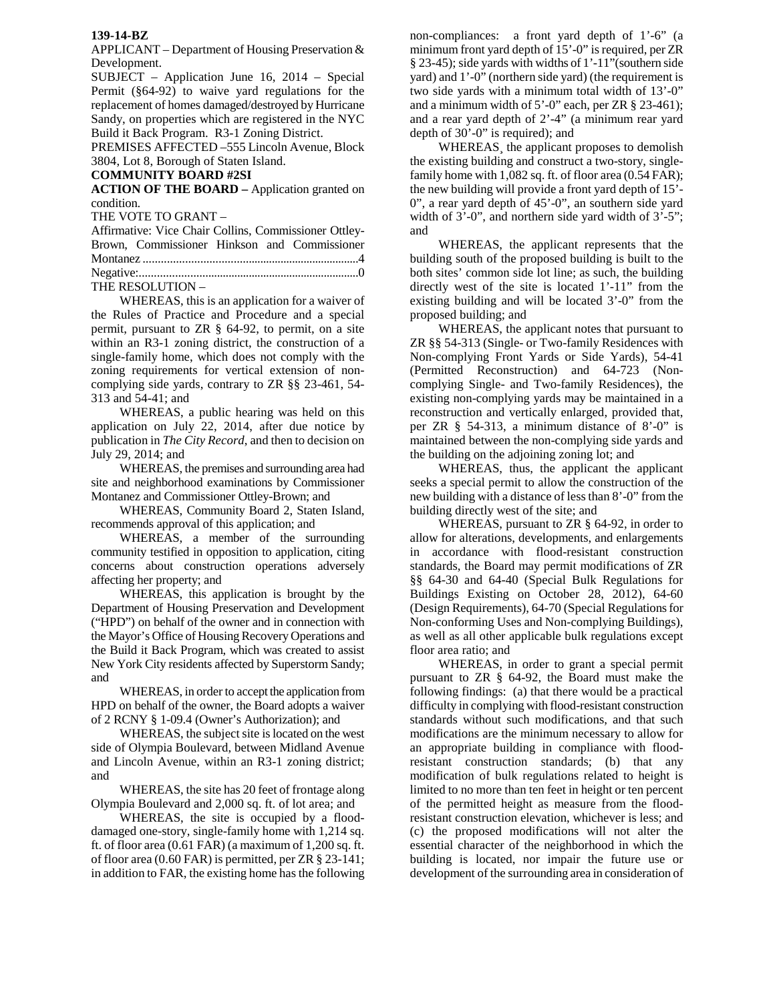## **139-14-BZ**

APPLICANT – Department of Housing Preservation & Development.

SUBJECT – Application June 16, 2014 – Special Permit (§64-92) to waive yard regulations for the replacement of homes damaged/destroyed by Hurricane Sandy, on properties which are registered in the NYC Build it Back Program. R3-1 Zoning District.

PREMISES AFFECTED –555 Lincoln Avenue, Block 3804, Lot 8, Borough of Staten Island.

## **COMMUNITY BOARD #2SI**

**ACTION OF THE BOARD –** Application granted on condition.

THE VOTE TO GRANT –

| Affirmative: Vice Chair Collins, Commissioner Ottley- |                                              |  |  |  |  |
|-------------------------------------------------------|----------------------------------------------|--|--|--|--|
|                                                       | Brown, Commissioner Hinkson and Commissioner |  |  |  |  |
|                                                       |                                              |  |  |  |  |
|                                                       |                                              |  |  |  |  |
|                                                       | THE RESOLUTION -                             |  |  |  |  |

 WHEREAS, this is an application for a waiver of the Rules of Practice and Procedure and a special permit, pursuant to ZR § 64-92, to permit, on a site within an R3-1 zoning district, the construction of a single-family home, which does not comply with the zoning requirements for vertical extension of noncomplying side yards, contrary to ZR §§ 23-461, 54- 313 and 54-41; and

WHEREAS, a public hearing was held on this application on July 22, 2014, after due notice by publication in *The City Record*, and then to decision on July 29, 2014; and

WHEREAS, the premises and surrounding area had site and neighborhood examinations by Commissioner Montanez and Commissioner Ottley-Brown; and

WHEREAS, Community Board 2, Staten Island, recommends approval of this application; and

WHEREAS, a member of the surrounding community testified in opposition to application, citing concerns about construction operations adversely affecting her property; and

WHEREAS, this application is brought by the Department of Housing Preservation and Development ("HPD") on behalf of the owner and in connection with the Mayor's Office of Housing Recovery Operations and the Build it Back Program, which was created to assist New York City residents affected by Superstorm Sandy; and

WHEREAS, in order to accept the application from HPD on behalf of the owner, the Board adopts a waiver of 2 RCNY § 1-09.4 (Owner's Authorization); and

WHEREAS, the subject site is located on the west side of Olympia Boulevard, between Midland Avenue and Lincoln Avenue, within an R3-1 zoning district; and

WHEREAS, the site has 20 feet of frontage along Olympia Boulevard and 2,000 sq. ft. of lot area; and

WHEREAS, the site is occupied by a flooddamaged one-story, single-family home with 1,214 sq. ft. of floor area (0.61 FAR) (a maximum of 1,200 sq. ft. of floor area (0.60 FAR) is permitted, per ZR § 23-141; in addition to FAR, the existing home has the following non-compliances: a front yard depth of 1'-6" (a minimum front yard depth of 15'-0" is required, per ZR § 23-45); side yards with widths of 1'-11"(southern side yard) and 1'-0" (northern side yard) (the requirement is two side yards with a minimum total width of 13'-0" and a minimum width of 5'-0" each, per ZR § 23-461); and a rear yard depth of 2'-4" (a minimum rear yard depth of 30'-0" is required); and

 WHEREAS¸ the applicant proposes to demolish the existing building and construct a two-story, singlefamily home with 1,082 sq. ft. of floor area (0.54 FAR); the new building will provide a front yard depth of 15'- 0", a rear yard depth of 45'-0", an southern side yard width of  $3'-0$ ", and northern side yard width of  $3'-5$ "; and

 WHEREAS, the applicant represents that the building south of the proposed building is built to the both sites' common side lot line; as such, the building directly west of the site is located 1'-11" from the existing building and will be located 3'-0" from the proposed building; and

 WHEREAS, the applicant notes that pursuant to ZR §§ 54-313 (Single- or Two-family Residences with Non-complying Front Yards or Side Yards), 54-41 (Permitted Reconstruction) and 64-723 (Noncomplying Single- and Two-family Residences), the existing non-complying yards may be maintained in a reconstruction and vertically enlarged, provided that, per ZR § 54-313, a minimum distance of 8'-0" is maintained between the non-complying side yards and the building on the adjoining zoning lot; and

WHEREAS, thus, the applicant the applicant seeks a special permit to allow the construction of the new building with a distance of less than 8'-0" from the building directly west of the site; and

 WHEREAS, pursuant to ZR § 64-92, in order to allow for alterations, developments, and enlargements in accordance with flood-resistant construction standards, the Board may permit modifications of ZR §§ 64-30 and 64-40 (Special Bulk Regulations for Buildings Existing on October 28, 2012), 64-60 (Design Requirements), 64-70 (Special Regulations for Non-conforming Uses and Non-complying Buildings), as well as all other applicable bulk regulations except floor area ratio; and

WHEREAS, in order to grant a special permit pursuant to ZR § 64-92, the Board must make the following findings: (a) that there would be a practical difficulty in complying with flood-resistant construction standards without such modifications, and that such modifications are the minimum necessary to allow for an appropriate building in compliance with floodresistant construction standards; (b) that any modification of bulk regulations related to height is limited to no more than ten feet in height or ten percent of the permitted height as measure from the floodresistant construction elevation, whichever is less; and (c) the proposed modifications will not alter the essential character of the neighborhood in which the building is located, nor impair the future use or development of the surrounding area in consideration of